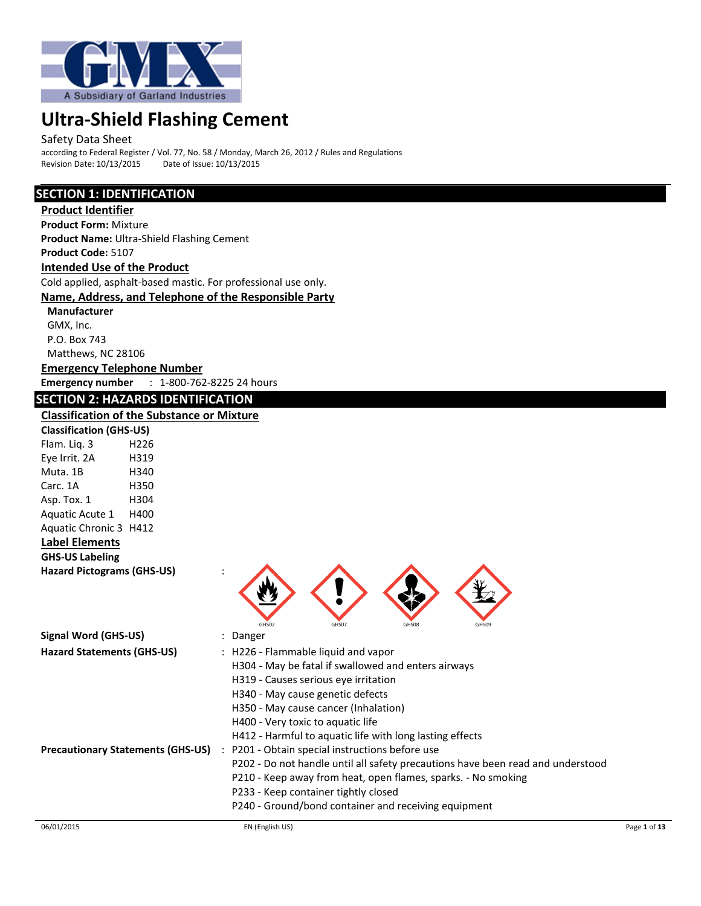

#### Safety Data Sheet

according to Federal Register / Vol. 77, No. 58 / Monday, March 26, 2012 / Rules and Regulations<br>Revision Date: 10/13/2015 Date of Issue: 10/13/2015 Revision Date: 10/13/2015

### **SECTION 1: IDENTIFICATION**

**Product Identifier Product Form:** Mixture **Product Name:** Ultra-Shield Flashing Cement **Product Code:** 5107 **Intended Use of the Product** Cold applied, asphalt-based mastic. For professional use only. **Name, Address, and Telephone of the Responsible Party Manufacturer**

# GMX, Inc. P.O. Box 743 Matthews, NC 28106

**Emergency Telephone Number**

**Emergency number** : 1-800-762-8225 24 hours

# **SECTION 2: HAZARDS IDENTIFICATION**

### **Classification of the Substance or Mixture**

| <b>Classification (GHS-US)</b>    |      |  |
|-----------------------------------|------|--|
| Flam. Lig. 3                      | H226 |  |
| Eye Irrit. 2A                     | H319 |  |
| Muta. 1B                          | H340 |  |
| Carc. 1A                          | H350 |  |
| Asp. Tox. 1                       | H304 |  |
| Aquatic Acute 1                   | H400 |  |
| <b>Aquatic Chronic 3</b>          | H412 |  |
| <b>Label Elements</b>             |      |  |
| <b>GHS-US Labeling</b>            |      |  |
| <b>Hazard Pictograms (GHS-US)</b> |      |  |
|                                   |      |  |



| <b>Signal Word (GHS-US)</b>              | : Danger                                                                        |
|------------------------------------------|---------------------------------------------------------------------------------|
| <b>Hazard Statements (GHS-US)</b>        | : H226 - Flammable liquid and vapor                                             |
|                                          | H304 - May be fatal if swallowed and enters airways                             |
|                                          | H319 - Causes serious eve irritation                                            |
|                                          | H340 - May cause genetic defects                                                |
|                                          | H350 - May cause cancer (Inhalation)                                            |
|                                          | H400 - Very toxic to aquatic life                                               |
|                                          | H412 - Harmful to aquatic life with long lasting effects                        |
| <b>Precautionary Statements (GHS-US)</b> | P201 - Obtain special instructions before use<br>$\mathbb{R}^n$                 |
|                                          | P202 - Do not handle until all safety precautions have been read and understood |
|                                          | P210 - Keep away from heat, open flames, sparks. - No smoking                   |
|                                          | P233 - Keep container tightly closed                                            |
|                                          | P240 - Ground/bond container and receiving equipment                            |
|                                          |                                                                                 |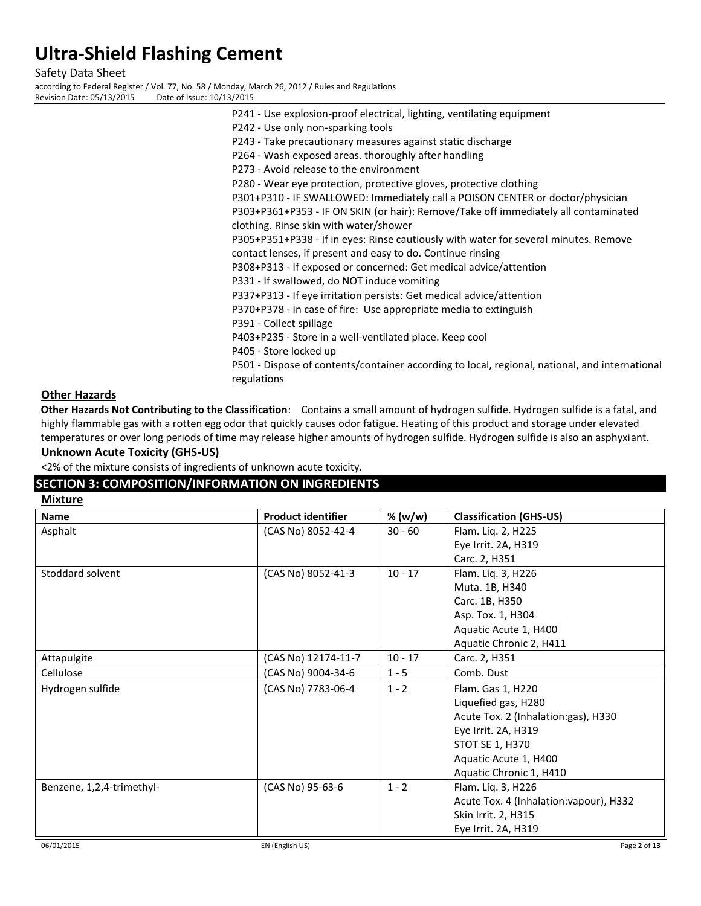Safety Data Sheet

according to Federal Register / Vol. 77, No. 58 / Monday, March 26, 2012 / Rules and Regulations

Revision Date: 05/13/2015 Date of Issue: 10/13/2015

P241 - Use explosion-proof electrical, lighting, ventilating equipment P242 - Use only non-sparking tools P243 - Take precautionary measures against static discharge P264 - Wash exposed areas. thoroughly after handling P273 - Avoid release to the environment P280 - Wear eye protection, protective gloves, protective clothing P301+P310 - IF SWALLOWED: Immediately call a POISON CENTER or doctor/physician P303+P361+P353 - IF ON SKIN (or hair): Remove/Take off immediately all contaminated clothing. Rinse skin with water/shower P305+P351+P338 - If in eyes: Rinse cautiously with water for several minutes. Remove contact lenses, if present and easy to do. Continue rinsing P308+P313 - If exposed or concerned: Get medical advice/attention P331 - If swallowed, do NOT induce vomiting P337+P313 - If eye irritation persists: Get medical advice/attention P370+P378 - In case of fire: Use appropriate media to extinguish P391 - Collect spillage P403+P235 - Store in a well-ventilated place. Keep cool P405 - Store locked up P501 - Dispose of contents/container according to local, regional, national, and international regulations

### **Other Hazards**

**Other Hazards Not Contributing to the Classification**: Contains a small amount of hydrogen sulfide. Hydrogen sulfide is a fatal, and highly flammable gas with a rotten egg odor that quickly causes odor fatigue. Heating of this product and storage under elevated temperatures or over long periods of time may release higher amounts of hydrogen sulfide. Hydrogen sulfide is also an asphyxiant.

### **Unknown Acute Toxicity (GHS-US)**

<2% of the mixture consists of ingredients of unknown acute toxicity.

### **SECTION 3: COMPOSITION/INFORMATION ON INGREDIENTS**

| <b>Mixture</b>            |                           |           |                                         |
|---------------------------|---------------------------|-----------|-----------------------------------------|
| <b>Name</b>               | <b>Product identifier</b> | % (w/w)   | <b>Classification (GHS-US)</b>          |
| Asphalt                   | (CAS No) 8052-42-4        | $30 - 60$ | Flam. Liq. 2, H225                      |
|                           |                           |           | Eye Irrit. 2A, H319                     |
|                           |                           |           | Carc. 2, H351                           |
| Stoddard solvent          | (CAS No) 8052-41-3        | $10 - 17$ | Flam. Liq. 3, H226                      |
|                           |                           |           | Muta. 1B, H340                          |
|                           |                           |           | Carc. 1B, H350                          |
|                           |                           |           | Asp. Tox. 1, H304                       |
|                           |                           |           | Aquatic Acute 1, H400                   |
|                           |                           |           | Aquatic Chronic 2, H411                 |
| Attapulgite               | (CAS No) 12174-11-7       | $10 - 17$ | Carc. 2, H351                           |
| Cellulose                 | (CAS No) 9004-34-6        | $1 - 5$   | Comb. Dust                              |
| Hydrogen sulfide          | (CAS No) 7783-06-4        | $1 - 2$   | Flam. Gas 1, H220                       |
|                           |                           |           | Liquefied gas, H280                     |
|                           |                           |           | Acute Tox. 2 (Inhalation: gas), H330    |
|                           |                           |           | Eye Irrit. 2A, H319                     |
|                           |                           |           | <b>STOT SE 1, H370</b>                  |
|                           |                           |           | Aquatic Acute 1, H400                   |
|                           |                           |           | Aquatic Chronic 1, H410                 |
| Benzene, 1,2,4-trimethyl- | (CAS No) 95-63-6          | $1 - 2$   | Flam. Liq. 3, H226                      |
|                           |                           |           | Acute Tox. 4 (Inhalation: vapour), H332 |
|                           |                           |           | Skin Irrit. 2, H315                     |
|                           |                           |           | Eye Irrit. 2A, H319                     |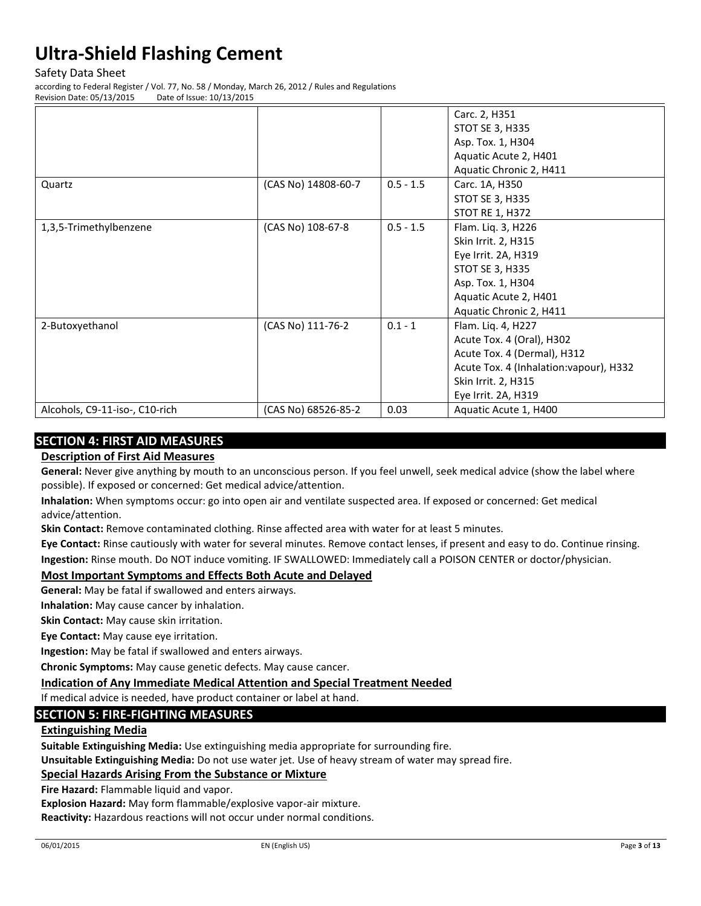Safety Data Sheet

according to Federal Register / Vol. 77, No. 58 / Monday, March 26, 2012 / Rules and Regulations Revision Date: 05/13/2015 Date of Issue: 10/13/2015

|                                |                     |             | Carc. 2, H351                           |
|--------------------------------|---------------------|-------------|-----------------------------------------|
|                                |                     |             | <b>STOT SE 3, H335</b>                  |
|                                |                     |             | Asp. Tox. 1, H304                       |
|                                |                     |             | Aquatic Acute 2, H401                   |
|                                |                     |             | Aquatic Chronic 2, H411                 |
| Quartz                         | (CAS No) 14808-60-7 | $0.5 - 1.5$ | Carc. 1A, H350                          |
|                                |                     |             | <b>STOT SE 3, H335</b>                  |
|                                |                     |             | <b>STOT RE 1, H372</b>                  |
| 1,3,5-Trimethylbenzene         | (CAS No) 108-67-8   | $0.5 - 1.5$ | Flam. Liq. 3, H226                      |
|                                |                     |             | Skin Irrit. 2, H315                     |
|                                |                     |             | Eye Irrit. 2A, H319                     |
|                                |                     |             | <b>STOT SE 3, H335</b>                  |
|                                |                     |             | Asp. Tox. 1, H304                       |
|                                |                     |             | Aquatic Acute 2, H401                   |
|                                |                     |             | Aquatic Chronic 2, H411                 |
| 2-Butoxyethanol                | (CAS No) 111-76-2   | $0.1 - 1$   | Flam. Liq. 4, H227                      |
|                                |                     |             | Acute Tox. 4 (Oral), H302               |
|                                |                     |             | Acute Tox. 4 (Dermal), H312             |
|                                |                     |             | Acute Tox. 4 (Inhalation: vapour), H332 |
|                                |                     |             | Skin Irrit. 2, H315                     |
|                                |                     |             | Eye Irrit. 2A, H319                     |
| Alcohols, C9-11-iso-, C10-rich | (CAS No) 68526-85-2 | 0.03        | Aquatic Acute 1, H400                   |

# **SECTION 4: FIRST AID MEASURES**

### **Description of First Aid Measures**

**General:** Never give anything by mouth to an unconscious person. If you feel unwell, seek medical advice (show the label where possible). If exposed or concerned: Get medical advice/attention.

**Inhalation:** When symptoms occur: go into open air and ventilate suspected area. If exposed or concerned: Get medical advice/attention.

**Skin Contact:** Remove contaminated clothing. Rinse affected area with water for at least 5 minutes.

**Eye Contact:** Rinse cautiously with water for several minutes. Remove contact lenses, if present and easy to do. Continue rinsing. **Ingestion:** Rinse mouth. Do NOT induce vomiting. IF SWALLOWED: Immediately call a POISON CENTER or doctor/physician.

### **Most Important Symptoms and Effects Both Acute and Delayed**

**General:** May be fatal if swallowed and enters airways.

**Inhalation:** May cause cancer by inhalation.

**Skin Contact:** May cause skin irritation.

**Eye Contact:** May cause eye irritation.

**Ingestion:** May be fatal if swallowed and enters airways.

**Chronic Symptoms:** May cause genetic defects. May cause cancer.

**Indication of Any Immediate Medical Attention and Special Treatment Needed**

If medical advice is needed, have product container or label at hand.

# **SECTION 5: FIRE-FIGHTING MEASURES**

# **Extinguishing Media**

**Suitable Extinguishing Media:** Use extinguishing media appropriate for surrounding fire.

**Unsuitable Extinguishing Media:** Do not use water jet. Use of heavy stream of water may spread fire.

### **Special Hazards Arising From the Substance or Mixture**

**Fire Hazard:** Flammable liquid and vapor.

**Explosion Hazard:** May form flammable/explosive vapor-air mixture.

**Reactivity:** Hazardous reactions will not occur under normal conditions.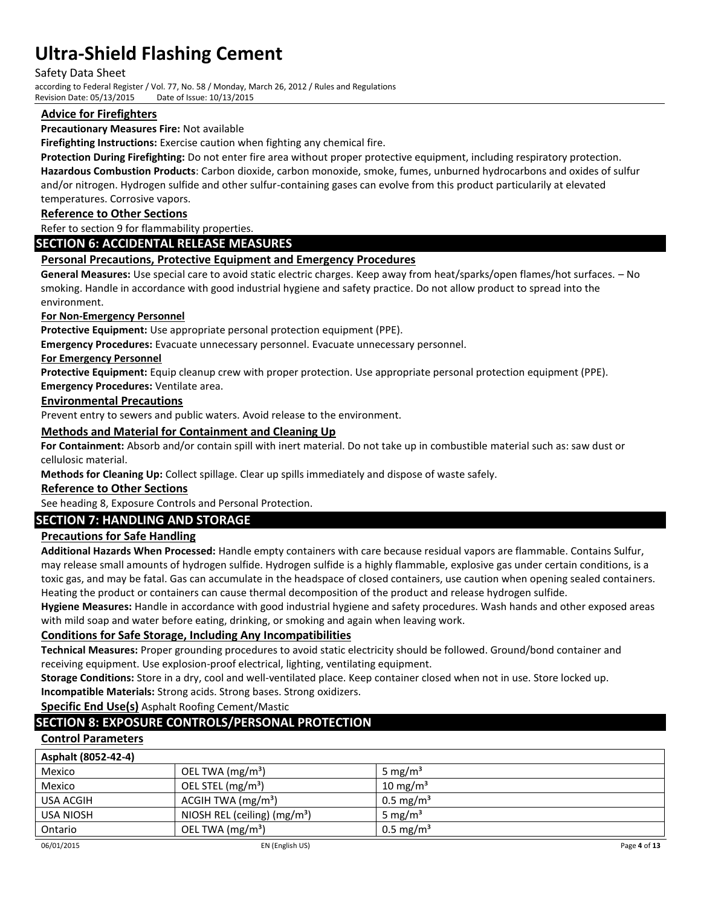Safety Data Sheet

according to Federal Register / Vol. 77, No. 58 / Monday, March 26, 2012 / Rules and Regulations Revision Date: 05/13/2015 Date of Issue: 10/13/2015

### **Advice for Firefighters**

#### **Precautionary Measures Fire:** Not available

**Firefighting Instructions:** Exercise caution when fighting any chemical fire.

**Protection During Firefighting:** Do not enter fire area without proper protective equipment, including respiratory protection.

**Hazardous Combustion Products**: Carbon dioxide, carbon monoxide, smoke, fumes, unburned hydrocarbons and oxides of sulfur and/or nitrogen. Hydrogen sulfide and other sulfur-containing gases can evolve from this product particularily at elevated temperatures. Corrosive vapors.

### **Reference to Other Sections**

Refer to section 9 for flammability properties.

### **SECTION 6: ACCIDENTAL RELEASE MEASURES**

### **Personal Precautions, Protective Equipment and Emergency Procedures**

**General Measures:** Use special care to avoid static electric charges. Keep away from heat/sparks/open flames/hot surfaces. – No smoking. Handle in accordance with good industrial hygiene and safety practice. Do not allow product to spread into the environment.

#### **For Non-Emergency Personnel**

**Protective Equipment:** Use appropriate personal protection equipment (PPE).

**Emergency Procedures:** Evacuate unnecessary personnel. Evacuate unnecessary personnel.

#### **For Emergency Personnel**

**Protective Equipment:** Equip cleanup crew with proper protection. Use appropriate personal protection equipment (PPE). **Emergency Procedures:** Ventilate area.

# **Environmental Precautions**

Prevent entry to sewers and public waters. Avoid release to the environment.

#### **Methods and Material for Containment and Cleaning Up**

**For Containment:** Absorb and/or contain spill with inert material. Do not take up in combustible material such as: saw dust or cellulosic material.

**Methods for Cleaning Up:** Collect spillage. Clear up spills immediately and dispose of waste safely.

### **Reference to Other Sections**

See heading 8, Exposure Controls and Personal Protection.

### **SECTION 7: HANDLING AND STORAGE**

### **Precautions for Safe Handling**

**Additional Hazards When Processed:** Handle empty containers with care because residual vapors are flammable. Contains Sulfur, may release small amounts of hydrogen sulfide. Hydrogen sulfide is a highly flammable, explosive gas under certain conditions, is a toxic gas, and may be fatal. Gas can accumulate in the headspace of closed containers, use caution when opening sealed containers. Heating the product or containers can cause thermal decomposition of the product and release hydrogen sulfide.

**Hygiene Measures:** Handle in accordance with good industrial hygiene and safety procedures. Wash hands and other exposed areas with mild soap and water before eating, drinking, or smoking and again when leaving work.

### **Conditions for Safe Storage, Including Any Incompatibilities**

**Technical Measures:** Proper grounding procedures to avoid static electricity should be followed. Ground/bond container and receiving equipment. Use explosion-proof electrical, lighting, ventilating equipment.

**Storage Conditions:** Store in a dry, cool and well-ventilated place. Keep container closed when not in use. Store locked up.

**Incompatible Materials:** Strong acids. Strong bases. Strong oxidizers.

**Specific End Use(s)** Asphalt Roofing Cement/Mastic

# **SECTION 8: EXPOSURE CONTROLS/PERSONAL PROTECTION**

### **Control Parameters**

| Asphalt (8052-42-4) |                               |                         |              |
|---------------------|-------------------------------|-------------------------|--------------|
| Mexico              | OEL TWA $(mg/m3)$             | 5 mg/m <sup>3</sup>     |              |
| Mexico              | OEL STEL (mg/m <sup>3</sup> ) | 10 mg/m <sup>3</sup>    |              |
| USA ACGIH           | ACGIH TWA $(mg/m3)$           | $0.5 \,\mathrm{mg/m^3}$ |              |
| USA NIOSH           | NIOSH REL (ceiling) $(mg/m3)$ | 5 mg/m <sup>3</sup>     |              |
| Ontario             | OEL TWA $(mg/m3)$             | $0.5 \,\mathrm{mg/m^3}$ |              |
| 06/01/2015          | EN (English US)               |                         | Page 4 of 13 |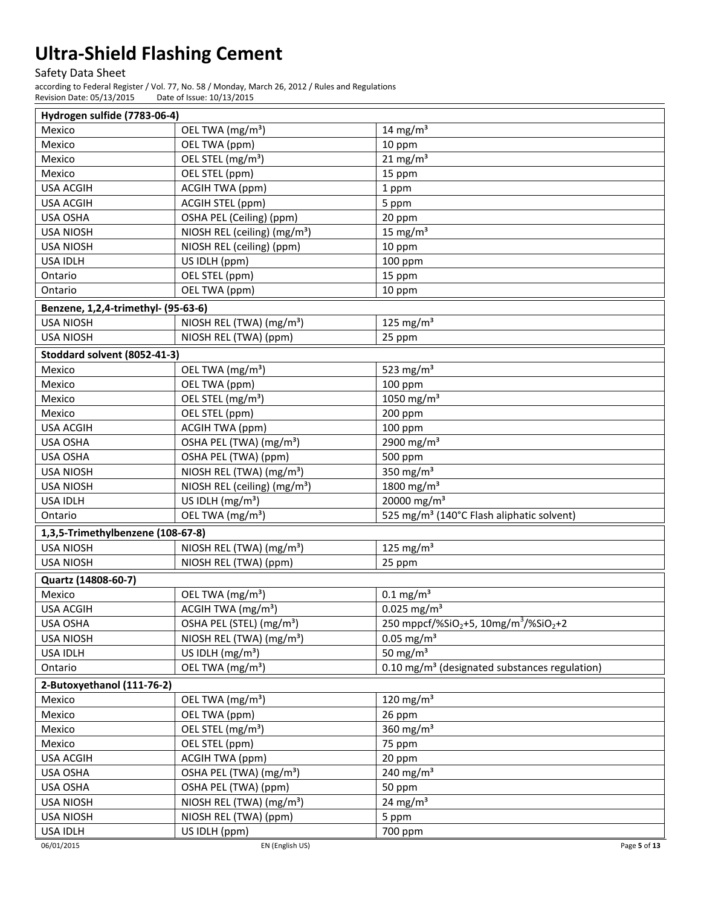Safety Data Sheet

according to Federal Register / Vol. 77, No. 58 / Monday, March 26, 2012 / Rules and Regulations Revision Date: 05/13/2015 Date of Issue: 10/13/2015

| Hydrogen sulfide (7783-06-4)        |                                          |                                                                           |
|-------------------------------------|------------------------------------------|---------------------------------------------------------------------------|
| Mexico                              | OEL TWA (mg/m <sup>3</sup> )             | 14 mg/ $m3$                                                               |
| Mexico                              | OEL TWA (ppm)                            | 10 ppm                                                                    |
| Mexico                              | OEL STEL (mg/m <sup>3</sup> )            | $21$ mg/m <sup>3</sup>                                                    |
| Mexico                              | OEL STEL (ppm)                           | 15 ppm                                                                    |
| <b>USA ACGIH</b>                    | <b>ACGIH TWA (ppm)</b>                   | 1 ppm                                                                     |
| <b>USA ACGIH</b>                    | ACGIH STEL (ppm)                         | 5 ppm                                                                     |
| USA OSHA                            | OSHA PEL (Ceiling) (ppm)                 | 20 ppm                                                                    |
| <b>USA NIOSH</b>                    | NIOSH REL (ceiling) (mg/m <sup>3</sup> ) | 15 mg/ $m3$                                                               |
| <b>USA NIOSH</b>                    | NIOSH REL (ceiling) (ppm)                | 10 ppm                                                                    |
| <b>USA IDLH</b>                     | US IDLH (ppm)                            | 100 ppm                                                                   |
| Ontario                             | OEL STEL (ppm)                           | 15 ppm                                                                    |
| Ontario                             | OEL TWA (ppm)                            | 10 ppm                                                                    |
| Benzene, 1,2,4-trimethyl- (95-63-6) |                                          |                                                                           |
| <b>USA NIOSH</b>                    | NIOSH REL (TWA) (mg/m <sup>3</sup> )     | 125 mg/m <sup>3</sup>                                                     |
| <b>USA NIOSH</b>                    | NIOSH REL (TWA) (ppm)                    | 25 ppm                                                                    |
| Stoddard solvent (8052-41-3)        |                                          |                                                                           |
| Mexico                              | OEL TWA (mg/m <sup>3</sup> )             | 523 $mg/m3$                                                               |
| Mexico                              | OEL TWA (ppm)                            | 100 ppm                                                                   |
| Mexico                              | OEL STEL (mg/m <sup>3</sup> )            | 1050 mg/m <sup>3</sup>                                                    |
| Mexico                              | OEL STEL (ppm)                           | 200 ppm                                                                   |
| <b>USA ACGIH</b>                    | <b>ACGIH TWA (ppm)</b>                   | 100 ppm                                                                   |
| USA OSHA                            | OSHA PEL (TWA) (mg/m <sup>3</sup> )      | 2900 mg/m <sup>3</sup>                                                    |
| USA OSHA                            | OSHA PEL (TWA) (ppm)                     | 500 ppm                                                                   |
| <b>USA NIOSH</b>                    | NIOSH REL (TWA) (mg/m <sup>3</sup> )     | 350 $mg/m3$                                                               |
| <b>USA NIOSH</b>                    | NIOSH REL (ceiling) (mg/m <sup>3</sup> ) | 1800 mg/m <sup>3</sup>                                                    |
| <b>USA IDLH</b>                     | US IDLH $(mg/m3)$                        | 20000 mg/m <sup>3</sup>                                                   |
| Ontario                             | OEL TWA (mg/m <sup>3</sup> )             | 525 mg/m <sup>3</sup> (140°C Flash aliphatic solvent)                     |
| 1,3,5-Trimethylbenzene (108-67-8)   |                                          |                                                                           |
| <b>USA NIOSH</b>                    | NIOSH REL (TWA) (mg/m <sup>3</sup> )     | 125 mg/m $3$                                                              |
| <b>USA NIOSH</b>                    | NIOSH REL (TWA) (ppm)                    | 25 ppm                                                                    |
| Quartz (14808-60-7)                 |                                          |                                                                           |
| Mexico                              | OEL TWA (mg/m <sup>3</sup> )             | $0.1$ mg/m <sup>3</sup>                                                   |
| <b>USA ACGIH</b>                    | ACGIH TWA (mg/m <sup>3</sup> )           | $0.025$ mg/m <sup>3</sup>                                                 |
| USA OSHA                            | OSHA PEL (STEL) (mg/m <sup>3</sup> )     | 250 mppcf/%SiO <sub>2</sub> +5, 10mg/m <sup>3</sup> /%SiO <sub>2</sub> +2 |
| <b>USA NIOSH</b>                    | NIOSH REL (TWA) (mg/m <sup>3</sup> )     | $0.05$ mg/m <sup>3</sup>                                                  |
| <b>USA IDLH</b>                     | US IDLH $(mg/m3)$                        | 50 mg/ $m3$                                                               |
| Ontario                             | OEL TWA (mg/m <sup>3</sup> )             | 0.10 mg/m <sup>3</sup> (designated substances regulation)                 |
|                                     |                                          |                                                                           |
| 2-Butoxyethanol (111-76-2)          |                                          |                                                                           |
| Mexico                              | OEL TWA (mg/m <sup>3</sup> )             | 120 mg/m $3$                                                              |
| Mexico                              | OEL TWA (ppm)                            | 26 ppm                                                                    |
| Mexico                              | OEL STEL (mg/m <sup>3</sup> )            | 360 mg/m $3$                                                              |
| Mexico                              | OEL STEL (ppm)<br><b>ACGIH TWA (ppm)</b> | 75 ppm                                                                    |
| <b>USA ACGIH</b>                    |                                          | 20 ppm<br>240 mg/m $3$                                                    |
| USA OSHA<br>USA OSHA                | OSHA PEL (TWA) (mg/m <sup>3</sup> )      |                                                                           |
|                                     | OSHA PEL (TWA) (ppm)                     | 50 ppm                                                                    |
| <b>USA NIOSH</b>                    | NIOSH REL (TWA) (mg/m <sup>3</sup> )     | 24 mg/m <sup>3</sup>                                                      |
| <b>USA NIOSH</b><br>USA IDLH        | NIOSH REL (TWA) (ppm)<br>US IDLH (ppm)   | 5 ppm<br>700 ppm                                                          |
| 06/01/2015                          | EN (English US)                          | Page 5 of 13                                                              |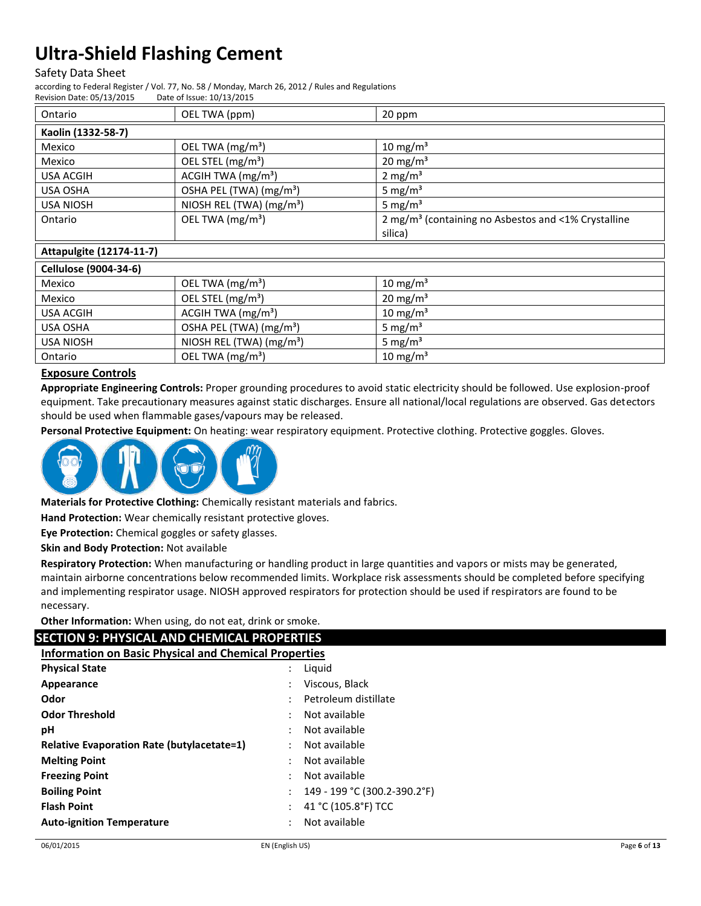#### Safety Data Sheet

according to Federal Register / Vol. 77, No. 58 / Monday, March 26, 2012 / Rules and Regulations

Revision Date: 05/13/2015 Date of Issue: 10/13/2015

| Ontario                         | OEL TWA (ppm)                        | 20 ppm                                                          |
|---------------------------------|--------------------------------------|-----------------------------------------------------------------|
| Kaolin (1332-58-7)              |                                      |                                                                 |
| Mexico                          | OEL TWA $(mg/m3)$                    | $10 \text{ mg/m}^3$                                             |
| Mexico                          | OEL STEL (mg/m <sup>3</sup> )        | $20 \text{ mg/m}^3$                                             |
| <b>USA ACGIH</b>                | ACGIH TWA $(mg/m3)$                  | $2 \text{ mg/m}^3$                                              |
| <b>USA OSHA</b>                 | OSHA PEL (TWA) (mg/m <sup>3</sup> )  | 5 mg/ $m3$                                                      |
| <b>USA NIOSH</b>                | NIOSH REL (TWA) (mg/m <sup>3</sup> ) | 5 mg/ $m3$                                                      |
| Ontario                         | OEL TWA (mg/m <sup>3</sup> )         | 2 mg/m <sup>3</sup> (containing no Asbestos and <1% Crystalline |
|                                 |                                      | silica)                                                         |
| <b>Attapulgite (12174-11-7)</b> |                                      |                                                                 |
| Cellulose (9004-34-6)           |                                      |                                                                 |
| Mexico                          | OEL TWA (mg/m <sup>3</sup> )         | $10 \text{ mg/m}^3$                                             |
| Mexico                          | OEL STEL (mg/m <sup>3</sup> )        | $20 \text{ mg/m}^3$                                             |
| <b>USA ACGIH</b>                | ACGIH TWA $(mg/m3)$                  | 10 mg/m <sup>3</sup>                                            |
| USA OSHA                        | OSHA PEL (TWA) (mg/m <sup>3</sup> )  | 5 mg/ $m3$                                                      |
| <b>USA NIOSH</b>                | NIOSH REL (TWA) (mg/m <sup>3</sup> ) | 5 mg/m <sup>3</sup>                                             |
| Ontario                         | OEL TWA $(mg/m3)$                    | $10 \text{ mg/m}^3$                                             |

# **Exposure Controls**

**Appropriate Engineering Controls:** Proper grounding procedures to avoid static electricity should be followed. Use explosion-proof equipment. Take precautionary measures against static discharges. Ensure all national/local regulations are observed. Gas detectors should be used when flammable gases/vapours may be released.

**Personal Protective Equipment:** On heating: wear respiratory equipment. Protective clothing. Protective goggles. Gloves.



**Materials for Protective Clothing:** Chemically resistant materials and fabrics.

**Hand Protection:** Wear chemically resistant protective gloves.

**Eye Protection:** Chemical goggles or safety glasses.

**Skin and Body Protection:** Not available

**Respiratory Protection:** When manufacturing or handling product in large quantities and vapors or mists may be generated, maintain airborne concentrations below recommended limits. Workplace risk assessments should be completed before specifying and implementing respirator usage. NIOSH approved respirators for protection should be used if respirators are found to be necessary.

**Other Information:** When using, do not eat, drink or smoke.

### **SECTION 9: PHYSICAL AND CHEMICAL PROPERTIES**

| <b>Information on Basic Physical and Chemical Properties</b> |                              |
|--------------------------------------------------------------|------------------------------|
| <b>Physical State</b>                                        | Liquid                       |
| Appearance                                                   | Viscous, Black               |
| Odor                                                         | Petroleum distillate         |
| <b>Odor Threshold</b>                                        | Not available                |
| рH                                                           | Not available                |
| <b>Relative Evaporation Rate (butylacetate=1)</b>            | Not available                |
| <b>Melting Point</b>                                         | Not available                |
| <b>Freezing Point</b>                                        | Not available                |
| <b>Boiling Point</b>                                         | 149 - 199 °C (300.2-390.2°F) |
| <b>Flash Point</b>                                           | 41 °C (105.8°F) TCC          |
| <b>Auto-ignition Temperature</b>                             | Not available                |
|                                                              |                              |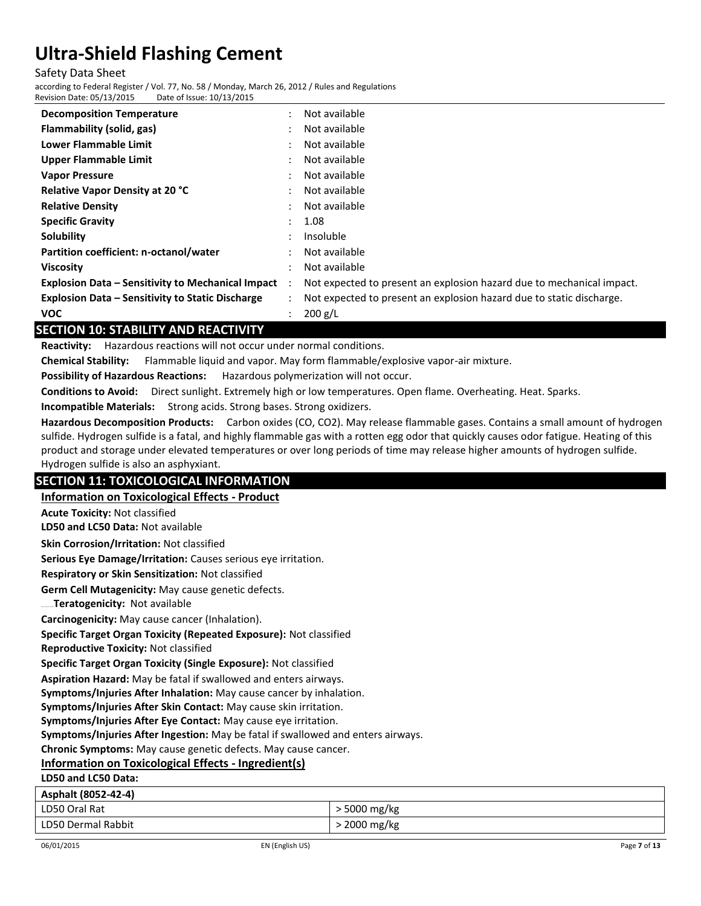Safety Data Sheet

according to Federal Register / Vol. 77, No. 58 / Monday, March 26, 2012 / Rules and Regulations Revision Date: 05/13/2015 Date of Issue: 10/13/2015

| Not available<br><b>Decomposition Temperature</b><br>٠<br>Flammability (solid, gas)<br>Not available<br>٠<br>Lower Flammable Limit<br>Not available<br>٠<br><b>Upper Flammable Limit</b><br>Not available |
|-----------------------------------------------------------------------------------------------------------------------------------------------------------------------------------------------------------|
|                                                                                                                                                                                                           |
|                                                                                                                                                                                                           |
|                                                                                                                                                                                                           |
|                                                                                                                                                                                                           |
| Not available<br><b>Vapor Pressure</b>                                                                                                                                                                    |
| <b>Relative Vapor Density at 20 °C</b><br>Not available<br>٠                                                                                                                                              |
| <b>Relative Density</b><br>Not available<br>٠                                                                                                                                                             |
| <b>Specific Gravity</b><br>1.08<br>÷                                                                                                                                                                      |
| Solubility<br>Insoluble<br>٠                                                                                                                                                                              |
| Partition coefficient: n-octanol/water<br>Not available                                                                                                                                                   |
| Not available<br><b>Viscosity</b>                                                                                                                                                                         |
| <b>Explosion Data - Sensitivity to Mechanical Impact</b><br>Not expected to present an explosion hazard due to mechanical impact.<br>$\ddot{\phantom{0}}$                                                 |
| <b>Explosion Data - Sensitivity to Static Discharge</b><br>Not expected to present an explosion hazard due to static discharge.<br>$\mathbf{r}$                                                           |
| 200 g/L<br><b>VOC</b><br>$\ddot{\cdot}$                                                                                                                                                                   |

# **SECTION 10: STABILITY AND REACTIVITY**

**Reactivity:** Hazardous reactions will not occur under normal conditions.

**Chemical Stability:** Flammable liquid and vapor. May form flammable/explosive vapor-air mixture.

**Possibility of Hazardous Reactions:** Hazardous polymerization will not occur.

**Conditions to Avoid:** Direct sunlight. Extremely high or low temperatures. Open flame. Overheating. Heat. Sparks.

**Incompatible Materials:** Strong acids. Strong bases. Strong oxidizers.

**Hazardous Decomposition Products:** Carbon oxides (CO, CO2). May release flammable gases. Contains a small amount of hydrogen sulfide. Hydrogen sulfide is a fatal, and highly flammable gas with a rotten egg odor that quickly causes odor fatigue. Heating of this product and storage under elevated temperatures or over long periods of time may release higher amounts of hydrogen sulfide. Hydrogen sulfide is also an asphyxiant.

### **SECTION 11: TOXICOLOGICAL INFORMATION**

**Information on Toxicological Effects - Product**

**Acute Toxicity:** Not classified

**LD50 and LC50 Data:** Not available

**Skin Corrosion/Irritation:** Not classified

**Serious Eye Damage/Irritation:** Causes serious eye irritation.

**Respiratory or Skin Sensitization:** Not classified

**Germ Cell Mutagenicity:** May cause genetic defects.

Teratogenicity: Not available

**Carcinogenicity:** May cause cancer (Inhalation).

**Specific Target Organ Toxicity (Repeated Exposure):** Not classified

**Reproductive Toxicity:** Not classified

**Specific Target Organ Toxicity (Single Exposure):** Not classified

**Aspiration Hazard:** May be fatal if swallowed and enters airways.

**Symptoms/Injuries After Inhalation:** May cause cancer by inhalation.

**Symptoms/Injuries After Skin Contact:** May cause skin irritation.

**Symptoms/Injuries After Eye Contact:** May cause eye irritation.

**Symptoms/Injuries After Ingestion:** May be fatal if swallowed and enters airways.

**Chronic Symptoms:** May cause genetic defects. May cause cancer.

### **Information on Toxicological Effects - Ingredient(s)**

**LD50 and LC50 Data:**

| Asphalt (8052-42-4) |                |
|---------------------|----------------|
| LD50 Oral Rat       | $>$ 5000 mg/kg |
| LD50 Dermal Rabbit  | > 2000 mg/kg   |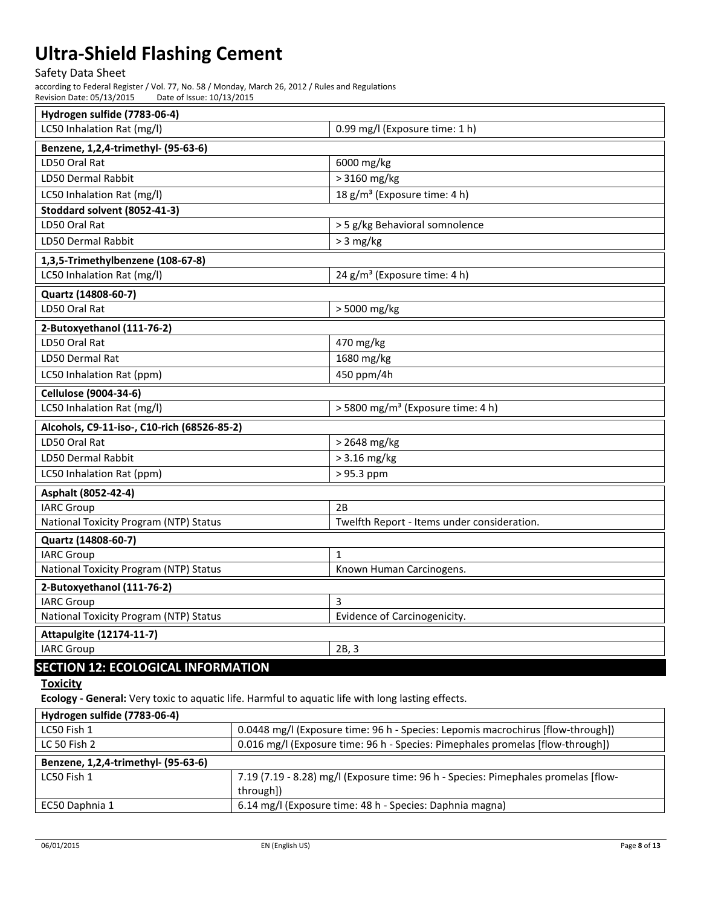### Safety Data Sheet

according to Federal Register / Vol. 77, No. 58 / Monday, March 26, 2012 / Rules and Regulations<br>Revision Date: 05/13/2015 Date of Issue: 10/13/2015 Revision Date: 05/13/2015

| Hydrogen sulfide (7783-06-4)                |                                               |  |
|---------------------------------------------|-----------------------------------------------|--|
| LC50 Inhalation Rat (mg/l)                  | 0.99 mg/l (Exposure time: 1 h)                |  |
| Benzene, 1,2,4-trimethyl- (95-63-6)         |                                               |  |
| LD50 Oral Rat                               | 6000 mg/kg                                    |  |
| <b>LD50 Dermal Rabbit</b>                   | > 3160 mg/kg                                  |  |
| LC50 Inhalation Rat (mg/l)                  | 18 g/m <sup>3</sup> (Exposure time: 4 h)      |  |
| Stoddard solvent (8052-41-3)                |                                               |  |
| LD50 Oral Rat                               | > 5 g/kg Behavioral somnolence                |  |
| LD50 Dermal Rabbit                          | $> 3$ mg/kg                                   |  |
| 1,3,5-Trimethylbenzene (108-67-8)           |                                               |  |
| LC50 Inhalation Rat (mg/l)                  | 24 g/m <sup>3</sup> (Exposure time: 4 h)      |  |
| Quartz (14808-60-7)                         |                                               |  |
| LD50 Oral Rat                               | > 5000 mg/kg                                  |  |
| 2-Butoxyethanol (111-76-2)                  |                                               |  |
| LD50 Oral Rat                               | 470 mg/kg                                     |  |
| LD50 Dermal Rat                             | 1680 mg/kg                                    |  |
| LC50 Inhalation Rat (ppm)                   | 450 ppm/4h                                    |  |
| <b>Cellulose (9004-34-6)</b>                |                                               |  |
| LC50 Inhalation Rat (mg/l)                  | > 5800 mg/m <sup>3</sup> (Exposure time: 4 h) |  |
| Alcohols, C9-11-iso-, C10-rich (68526-85-2) |                                               |  |
| LD50 Oral Rat                               | > 2648 mg/kg                                  |  |
| <b>LD50 Dermal Rabbit</b>                   | $> 3.16$ mg/kg                                |  |
| LC50 Inhalation Rat (ppm)                   | > 95.3 ppm                                    |  |
| Asphalt (8052-42-4)                         |                                               |  |
| <b>IARC Group</b>                           | 2B                                            |  |
| National Toxicity Program (NTP) Status      | Twelfth Report - Items under consideration.   |  |
| Quartz (14808-60-7)                         |                                               |  |
| <b>IARC Group</b>                           | 1                                             |  |
| National Toxicity Program (NTP) Status      | Known Human Carcinogens.                      |  |
| 2-Butoxyethanol (111-76-2)                  |                                               |  |
| <b>IARC Group</b>                           |                                               |  |
| National Toxicity Program (NTP) Status      | Evidence of Carcinogenicity.                  |  |
| <b>Attapulgite (12174-11-7)</b>             |                                               |  |
| <b>IARC Group</b>                           | 2B, 3                                         |  |
| <b>SECTION 12: ECOLOGICAL INFORMATION</b>   |                                               |  |
| <b>Toxicity</b>                             |                                               |  |

**Ecology - General:** Very toxic to aquatic life. Harmful to aquatic life with long lasting effects.

| Hydrogen sulfide (7783-06-4)        |                                                                                                 |
|-------------------------------------|-------------------------------------------------------------------------------------------------|
| LC50 Fish 1                         | 0.0448 mg/l (Exposure time: 96 h - Species: Lepomis macrochirus [flow-through])                 |
| LC 50 Fish 2                        | 0.016 mg/l (Exposure time: 96 h - Species: Pimephales promelas [flow-through])                  |
| Benzene, 1,2,4-trimethyl- (95-63-6) |                                                                                                 |
| LC50 Fish 1                         | 7.19 (7.19 - 8.28) mg/l (Exposure time: 96 h - Species: Pimephales promelas [flow-<br>through]) |
| EC50 Daphnia 1                      | 6.14 mg/l (Exposure time: 48 h - Species: Daphnia magna)                                        |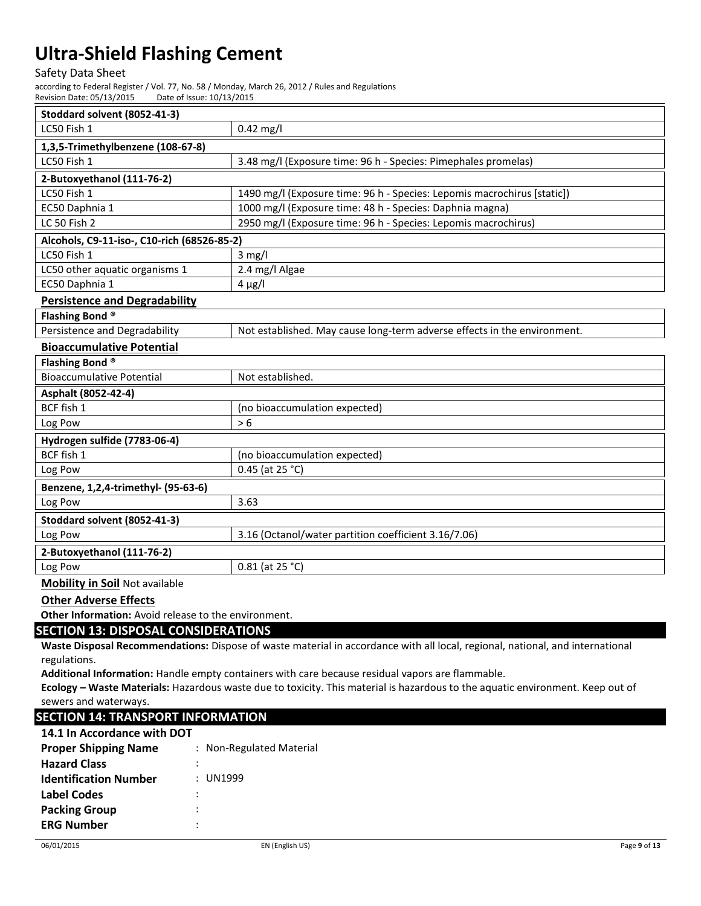#### Safety Data Sheet

according to Federal Register / Vol. 77, No. 58 / Monday, March 26, 2012 / Rules and Regulations<br>Revision Date: 05/13/2015 Date of Issue: 10/13/2015 Revision Date: 05/13/2015

| Stoddard solvent (8052-41-3)                |                                                                          |  |  |  |
|---------------------------------------------|--------------------------------------------------------------------------|--|--|--|
| LC50 Fish 1                                 | $0.42$ mg/l                                                              |  |  |  |
| 1,3,5-Trimethylbenzene (108-67-8)           |                                                                          |  |  |  |
| LC50 Fish 1                                 | 3.48 mg/l (Exposure time: 96 h - Species: Pimephales promelas)           |  |  |  |
| 2-Butoxyethanol (111-76-2)                  |                                                                          |  |  |  |
| LC50 Fish 1                                 | 1490 mg/l (Exposure time: 96 h - Species: Lepomis macrochirus [static])  |  |  |  |
| EC50 Daphnia 1                              | 1000 mg/l (Exposure time: 48 h - Species: Daphnia magna)                 |  |  |  |
| <b>LC 50 Fish 2</b>                         | 2950 mg/l (Exposure time: 96 h - Species: Lepomis macrochirus)           |  |  |  |
| Alcohols, C9-11-iso-, C10-rich (68526-85-2) |                                                                          |  |  |  |
| LC50 Fish 1                                 | $3$ mg/l                                                                 |  |  |  |
| LC50 other aquatic organisms 1              | 2.4 mg/l Algae                                                           |  |  |  |
| EC50 Daphnia 1                              | $4 \mu g/l$                                                              |  |  |  |
| <b>Persistence and Degradability</b>        |                                                                          |  |  |  |
| Flashing Bond <sup>®</sup>                  |                                                                          |  |  |  |
| Persistence and Degradability               | Not established. May cause long-term adverse effects in the environment. |  |  |  |
| <b>Bioaccumulative Potential</b>            |                                                                          |  |  |  |
| Flashing Bond <sup>®</sup>                  |                                                                          |  |  |  |
| <b>Bioaccumulative Potential</b>            | Not established.                                                         |  |  |  |
| Asphalt (8052-42-4)                         |                                                                          |  |  |  |
| BCF fish 1                                  | (no bioaccumulation expected)                                            |  |  |  |
| Log Pow                                     | > 6                                                                      |  |  |  |
| Hydrogen sulfide (7783-06-4)                |                                                                          |  |  |  |
| BCF fish 1                                  | (no bioaccumulation expected)                                            |  |  |  |
| Log Pow                                     | 0.45 (at 25 °C)                                                          |  |  |  |
| Benzene, 1,2,4-trimethyl- (95-63-6)         |                                                                          |  |  |  |
| Log Pow                                     | 3.63                                                                     |  |  |  |
| Stoddard solvent (8052-41-3)                |                                                                          |  |  |  |
| Log Pow                                     | 3.16 (Octanol/water partition coefficient 3.16/7.06)                     |  |  |  |
| 2-Butoxyethanol (111-76-2)                  |                                                                          |  |  |  |
| Log Pow                                     | $0.81$ (at 25 °C)                                                        |  |  |  |
| <b>Mobility in Soil Not available</b>       |                                                                          |  |  |  |

**Other Adverse Effects**

**Other Information:** Avoid release to the environment.

### **SECTION 13: DISPOSAL CONSIDERATIONS**

**Waste Disposal Recommendations:** Dispose of waste material in accordance with all local, regional, national, and international regulations.

**Additional Information:** Handle empty containers with care because residual vapors are flammable.

**Ecology – Waste Materials:** Hazardous waste due to toxicity. This material is hazardous to the aquatic environment. Keep out of sewers and waterways.

## **SECTION 14: TRANSPORT INFORMATION**

| 14.1 In Accordance with DOT  |   |                          |
|------------------------------|---|--------------------------|
| <b>Proper Shipping Name</b>  |   | : Non-Regulated Material |
| <b>Hazard Class</b>          |   |                          |
| <b>Identification Number</b> |   | : UN1999                 |
| Label Codes                  |   |                          |
| <b>Packing Group</b>         | : |                          |
| <b>ERG Number</b>            |   |                          |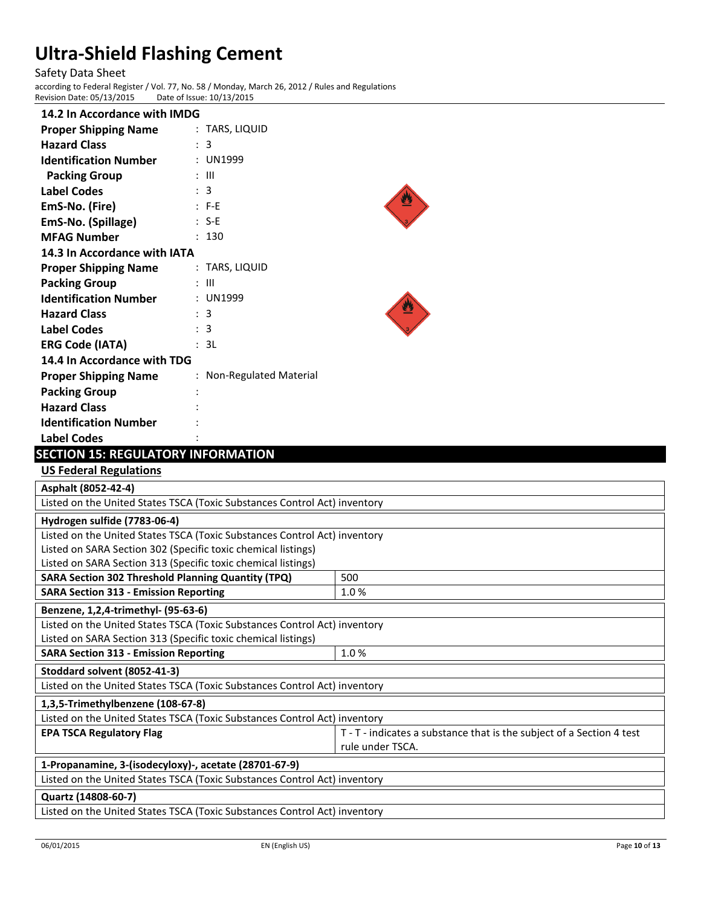Safety Data Sheet according to Federal Register / Vol. 77, No. 58 / Monday, March 26, 2012 / Rules and Regulations Revision Date: 05/13/2015

| 14.2 In Accordance with IMDG |                        |
|------------------------------|------------------------|
| <b>Proper Shipping Name</b>  | : TARS, LIQUID         |
| <b>Hazard Class</b>          | : 3                    |
| <b>Identification Number</b> | : UN1999               |
| <b>Packing Group</b>         | : III                  |
| <b>Label Codes</b>           | : 3                    |
| EmS-No. (Fire)               | $: F-E$                |
| EmS-No. (Spillage)           | $: S-F$                |
| <b>MFAG Number</b>           | 130                    |
| 14.3 In Accordance with IATA |                        |
| <b>Proper Shipping Name</b>  | : TARS, LIQUID         |
| <b>Packing Group</b>         | : III                  |
| <b>Identification Number</b> | : UN1999               |
| <b>Hazard Class</b>          | : 3                    |
| <b>Label Codes</b>           | : 3                    |
| <b>ERG Code (IATA)</b>       | : 3L                   |
| 14.4 In Accordance with TDG  |                        |
| <b>Proper Shipping Name</b>  | Non-Regulated Material |
| <b>Packing Group</b>         |                        |
| <b>Hazard Class</b>          |                        |
| <b>Identification Number</b> |                        |
| <b>Label Codes</b>           |                        |

# **SECTION 15: REGULATORY INFORMATION**

**US Federal Regulations**

| Asphalt (8052-42-4)                                                       |                                                                       |  |  |
|---------------------------------------------------------------------------|-----------------------------------------------------------------------|--|--|
| Listed on the United States TSCA (Toxic Substances Control Act) inventory |                                                                       |  |  |
| Hydrogen sulfide (7783-06-4)                                              |                                                                       |  |  |
| Listed on the United States TSCA (Toxic Substances Control Act) inventory |                                                                       |  |  |
| Listed on SARA Section 302 (Specific toxic chemical listings)             |                                                                       |  |  |
| Listed on SARA Section 313 (Specific toxic chemical listings)             |                                                                       |  |  |
| <b>SARA Section 302 Threshold Planning Quantity (TPQ)</b>                 | 500                                                                   |  |  |
| <b>SARA Section 313 - Emission Reporting</b>                              | 1.0%                                                                  |  |  |
| Benzene, 1,2,4-trimethyl- (95-63-6)                                       |                                                                       |  |  |
| Listed on the United States TSCA (Toxic Substances Control Act) inventory |                                                                       |  |  |
| Listed on SARA Section 313 (Specific toxic chemical listings)             |                                                                       |  |  |
| <b>SARA Section 313 - Emission Reporting</b><br>1.0%                      |                                                                       |  |  |
| Stoddard solvent (8052-41-3)                                              |                                                                       |  |  |
| Listed on the United States TSCA (Toxic Substances Control Act) inventory |                                                                       |  |  |
| 1,3,5-Trimethylbenzene (108-67-8)                                         |                                                                       |  |  |
| Listed on the United States TSCA (Toxic Substances Control Act) inventory |                                                                       |  |  |
| <b>EPA TSCA Regulatory Flag</b>                                           | T - T - indicates a substance that is the subject of a Section 4 test |  |  |
|                                                                           | rule under TSCA.                                                      |  |  |
| 1-Propanamine, 3-(isodecyloxy)-, acetate (28701-67-9)                     |                                                                       |  |  |
| Listed on the United States TSCA (Toxic Substances Control Act) inventory |                                                                       |  |  |
| Quartz (14808-60-7)                                                       |                                                                       |  |  |
| Listed on the United States TSCA (Toxic Substances Control Act) inventory |                                                                       |  |  |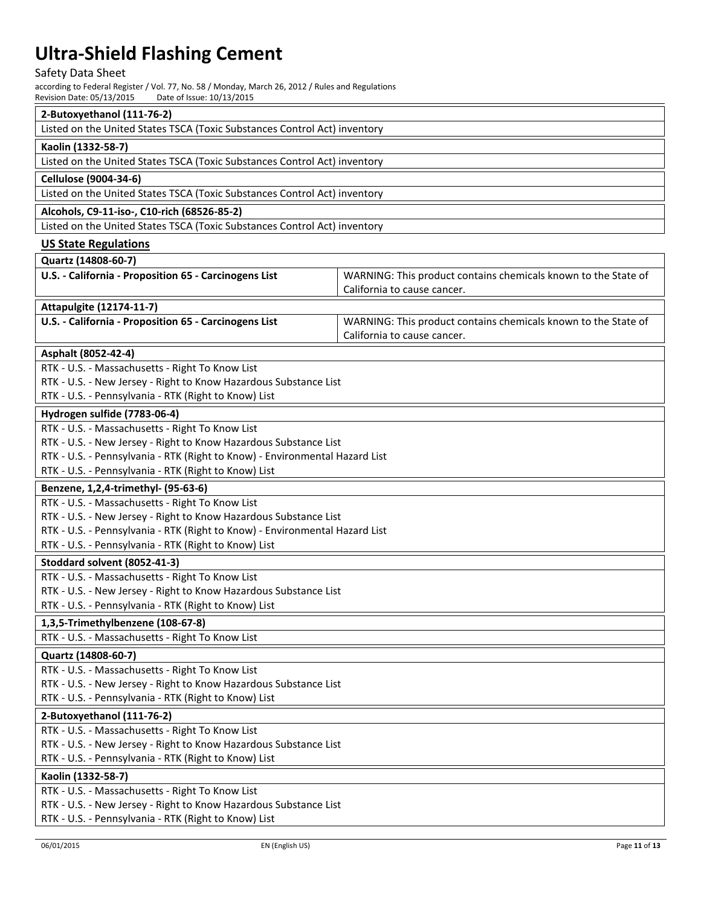# Safety Data Sheet

according to Federal Register / Vol. 77, No. 58 / Monday, March 26, 2012 / Rules and Regulations Revision Date: 05/13/2015 Date of Issue: 10/13/2015

| 2-Butoxyethanol (111-76-2)                                                                                          |                                                                |  |  |  |
|---------------------------------------------------------------------------------------------------------------------|----------------------------------------------------------------|--|--|--|
| Listed on the United States TSCA (Toxic Substances Control Act) inventory                                           |                                                                |  |  |  |
| Kaolin (1332-58-7)                                                                                                  |                                                                |  |  |  |
| Listed on the United States TSCA (Toxic Substances Control Act) inventory                                           |                                                                |  |  |  |
| <b>Cellulose (9004-34-6)</b>                                                                                        |                                                                |  |  |  |
| Listed on the United States TSCA (Toxic Substances Control Act) inventory                                           |                                                                |  |  |  |
| Alcohols, C9-11-iso-, C10-rich (68526-85-2)                                                                         |                                                                |  |  |  |
| Listed on the United States TSCA (Toxic Substances Control Act) inventory                                           |                                                                |  |  |  |
| <b>US State Regulations</b>                                                                                         |                                                                |  |  |  |
| Quartz (14808-60-7)                                                                                                 |                                                                |  |  |  |
| U.S. - California - Proposition 65 - Carcinogens List                                                               | WARNING: This product contains chemicals known to the State of |  |  |  |
|                                                                                                                     | California to cause cancer.                                    |  |  |  |
| <b>Attapulgite (12174-11-7)</b>                                                                                     |                                                                |  |  |  |
| U.S. - California - Proposition 65 - Carcinogens List                                                               | WARNING: This product contains chemicals known to the State of |  |  |  |
|                                                                                                                     | California to cause cancer.                                    |  |  |  |
| Asphalt (8052-42-4)                                                                                                 |                                                                |  |  |  |
| RTK - U.S. - Massachusetts - Right To Know List                                                                     |                                                                |  |  |  |
| RTK - U.S. - New Jersey - Right to Know Hazardous Substance List                                                    |                                                                |  |  |  |
| RTK - U.S. - Pennsylvania - RTK (Right to Know) List                                                                |                                                                |  |  |  |
| Hydrogen sulfide (7783-06-4)                                                                                        |                                                                |  |  |  |
| RTK - U.S. - Massachusetts - Right To Know List                                                                     |                                                                |  |  |  |
| RTK - U.S. - New Jersey - Right to Know Hazardous Substance List                                                    |                                                                |  |  |  |
| RTK - U.S. - Pennsylvania - RTK (Right to Know) - Environmental Hazard List                                         |                                                                |  |  |  |
| RTK - U.S. - Pennsylvania - RTK (Right to Know) List                                                                |                                                                |  |  |  |
| Benzene, 1,2,4-trimethyl- (95-63-6)                                                                                 |                                                                |  |  |  |
| RTK - U.S. - Massachusetts - Right To Know List                                                                     |                                                                |  |  |  |
| RTK - U.S. - New Jersey - Right to Know Hazardous Substance List                                                    |                                                                |  |  |  |
| RTK - U.S. - Pennsylvania - RTK (Right to Know) - Environmental Hazard List                                         |                                                                |  |  |  |
| RTK - U.S. - Pennsylvania - RTK (Right to Know) List                                                                |                                                                |  |  |  |
| Stoddard solvent (8052-41-3)                                                                                        |                                                                |  |  |  |
| RTK - U.S. - Massachusetts - Right To Know List                                                                     |                                                                |  |  |  |
| RTK - U.S. - New Jersey - Right to Know Hazardous Substance List                                                    |                                                                |  |  |  |
| RTK - U.S. - Pennsylvania - RTK (Right to Know) List                                                                |                                                                |  |  |  |
| 1,3,5-Trimethylbenzene (108-67-8)                                                                                   |                                                                |  |  |  |
| RTK - U.S. - Massachusetts - Right To Know List                                                                     |                                                                |  |  |  |
| Quartz (14808-60-7)                                                                                                 |                                                                |  |  |  |
| RTK - U.S. - Massachusetts - Right To Know List                                                                     |                                                                |  |  |  |
| RTK - U.S. - New Jersey - Right to Know Hazardous Substance List                                                    |                                                                |  |  |  |
| RTK - U.S. - Pennsylvania - RTK (Right to Know) List                                                                |                                                                |  |  |  |
| 2-Butoxyethanol (111-76-2)                                                                                          |                                                                |  |  |  |
| RTK - U.S. - Massachusetts - Right To Know List<br>RTK - U.S. - New Jersey - Right to Know Hazardous Substance List |                                                                |  |  |  |
| RTK - U.S. - Pennsylvania - RTK (Right to Know) List                                                                |                                                                |  |  |  |
| Kaolin (1332-58-7)                                                                                                  |                                                                |  |  |  |
| RTK - U.S. - Massachusetts - Right To Know List                                                                     |                                                                |  |  |  |
| RTK - U.S. - New Jersey - Right to Know Hazardous Substance List                                                    |                                                                |  |  |  |
| RTK - U.S. - Pennsylvania - RTK (Right to Know) List                                                                |                                                                |  |  |  |
|                                                                                                                     |                                                                |  |  |  |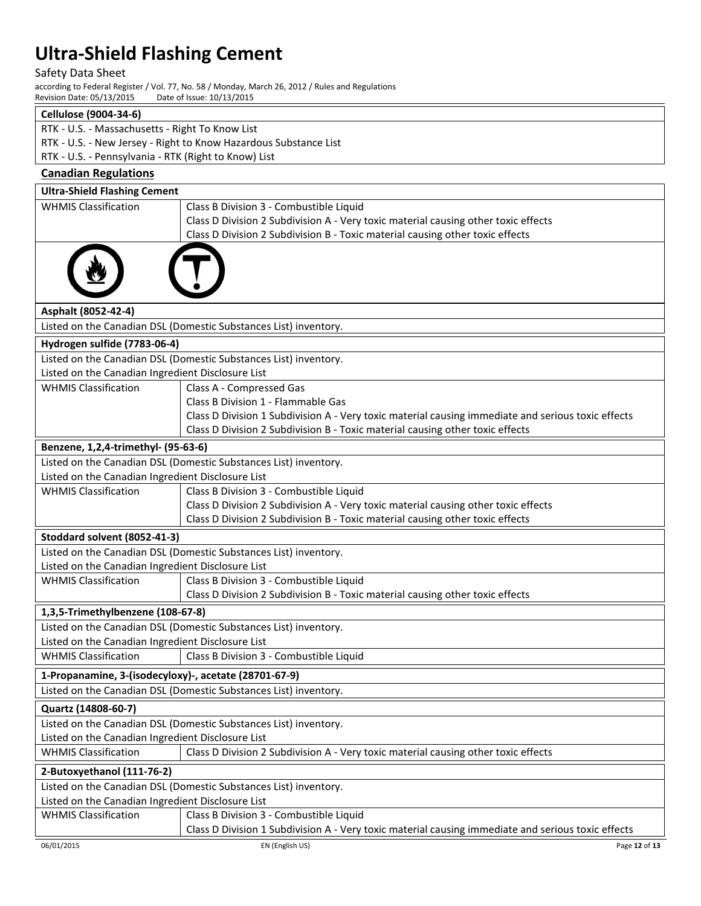Safety Data Sheet

according to Federal Register / Vol. 77, No. 58 / Monday, March 26, 2012 / Rules and Regulations<br>Revision Date: 05/13/2015 Date of Issue: 10/13/2015 Revision Date: 05/13/2015

### **Cellulose (9004-34-6)**

- RTK U.S. Massachusetts Right To Know List
- RTK U.S. New Jersey Right to Know Hazardous Substance List
- RTK U.S. Pennsylvania RTK (Right to Know) List

| <b>Canadian Regulations</b>                                      |                                                                                                    |  |  |  |  |
|------------------------------------------------------------------|----------------------------------------------------------------------------------------------------|--|--|--|--|
| <b>Ultra-Shield Flashing Cement</b>                              |                                                                                                    |  |  |  |  |
| <b>WHMIS Classification</b>                                      | Class B Division 3 - Combustible Liquid                                                            |  |  |  |  |
|                                                                  | Class D Division 2 Subdivision A - Very toxic material causing other toxic effects                 |  |  |  |  |
|                                                                  | Class D Division 2 Subdivision B - Toxic material causing other toxic effects                      |  |  |  |  |
|                                                                  |                                                                                                    |  |  |  |  |
|                                                                  |                                                                                                    |  |  |  |  |
|                                                                  |                                                                                                    |  |  |  |  |
| Asphalt (8052-42-4)                                              |                                                                                                    |  |  |  |  |
|                                                                  | Listed on the Canadian DSL (Domestic Substances List) inventory.                                   |  |  |  |  |
| Hydrogen sulfide (7783-06-4)                                     |                                                                                                    |  |  |  |  |
|                                                                  | Listed on the Canadian DSL (Domestic Substances List) inventory.                                   |  |  |  |  |
| Listed on the Canadian Ingredient Disclosure List                |                                                                                                    |  |  |  |  |
| <b>WHMIS Classification</b>                                      | Class A - Compressed Gas                                                                           |  |  |  |  |
|                                                                  | Class B Division 1 - Flammable Gas                                                                 |  |  |  |  |
|                                                                  | Class D Division 1 Subdivision A - Very toxic material causing immediate and serious toxic effects |  |  |  |  |
|                                                                  | Class D Division 2 Subdivision B - Toxic material causing other toxic effects                      |  |  |  |  |
| Benzene, 1,2,4-trimethyl- (95-63-6)                              |                                                                                                    |  |  |  |  |
|                                                                  | Listed on the Canadian DSL (Domestic Substances List) inventory.                                   |  |  |  |  |
| Listed on the Canadian Ingredient Disclosure List                |                                                                                                    |  |  |  |  |
| <b>WHMIS Classification</b>                                      | Class B Division 3 - Combustible Liquid                                                            |  |  |  |  |
|                                                                  | Class D Division 2 Subdivision A - Very toxic material causing other toxic effects                 |  |  |  |  |
|                                                                  | Class D Division 2 Subdivision B - Toxic material causing other toxic effects                      |  |  |  |  |
| Stoddard solvent (8052-41-3)                                     |                                                                                                    |  |  |  |  |
|                                                                  | Listed on the Canadian DSL (Domestic Substances List) inventory.                                   |  |  |  |  |
| Listed on the Canadian Ingredient Disclosure List                |                                                                                                    |  |  |  |  |
| <b>WHMIS Classification</b>                                      | Class B Division 3 - Combustible Liquid                                                            |  |  |  |  |
|                                                                  | Class D Division 2 Subdivision B - Toxic material causing other toxic effects                      |  |  |  |  |
| 1,3,5-Trimethylbenzene (108-67-8)                                |                                                                                                    |  |  |  |  |
|                                                                  | Listed on the Canadian DSL (Domestic Substances List) inventory.                                   |  |  |  |  |
| Listed on the Canadian Ingredient Disclosure List                |                                                                                                    |  |  |  |  |
| <b>WHMIS Classification</b>                                      | Class B Division 3 - Combustible Liquid                                                            |  |  |  |  |
| 1-Propanamine, 3-(isodecyloxy)-, acetate (28701-67-9)            |                                                                                                    |  |  |  |  |
|                                                                  | Listed on the Canadian DSL (Domestic Substances List) inventory.                                   |  |  |  |  |
| Quartz (14808-60-7)                                              |                                                                                                    |  |  |  |  |
|                                                                  | Listed on the Canadian DSL (Domestic Substances List) inventory.                                   |  |  |  |  |
| Listed on the Canadian Ingredient Disclosure List                |                                                                                                    |  |  |  |  |
| <b>WHMIS Classification</b>                                      | Class D Division 2 Subdivision A - Very toxic material causing other toxic effects                 |  |  |  |  |
| 2-Butoxyethanol (111-76-2)                                       |                                                                                                    |  |  |  |  |
| Listed on the Canadian DSL (Domestic Substances List) inventory. |                                                                                                    |  |  |  |  |
| Listed on the Canadian Ingredient Disclosure List                |                                                                                                    |  |  |  |  |
| <b>WHMIS Classification</b>                                      | Class B Division 3 - Combustible Liquid                                                            |  |  |  |  |
|                                                                  | Class D Division 1 Subdivision A - Very toxic material causing immediate and serious toxic effects |  |  |  |  |
| 06/01/2015                                                       | EN (English US)<br>Page 12 of 13                                                                   |  |  |  |  |